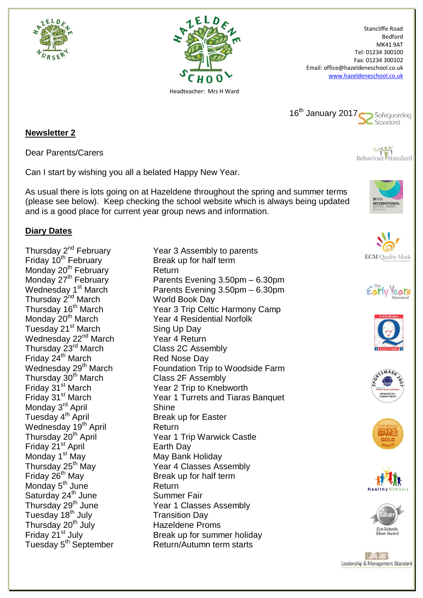



Stancliffe Road Bedford MK41 9AT Tel: 01234 300100 Fax: 01234 300102 Email: office@hazeldeneschool.co.uk [www.hazeldeneschool.co.uk](http://www.hazeldeneschool.co.uk/)



**Newsletter 2**

Dear Parents/Carers

Can I start by wishing you all a belated Happy New Year.

As usual there is lots going on at Hazeldene throughout the spring and summer terms (please see below). Keep checking the school website which is always being updated and is a good place for current year group news and information.



Behaviour Standard

## **Diary Dates**

Friday 10<sup>th</sup> February Break up for half term Monday 20<sup>th</sup> February **Return**<br>Monday 27<sup>th</sup> February **Rates** Parents Thursday 2<sup>nd</sup> March **World Book Day**<br>
Thursday 16<sup>th</sup> March Year 3 Trip Celti Tuesday 21<sup>st</sup> March Sing Up Day Wednesday 22<sup>nd</sup> March Year 4 Return Thursday 23<sup>rd</sup> March Class 2C Assembly Friday 24<sup>th</sup> March Red Nose Day Thursday 30<sup>th</sup> March Class 2F Assembly<br>Friday 31<sup>st</sup> March Class 2 Trip to Kneb Monday 3<sup>rd</sup> April Shine Tuesday 4<sup>th</sup> April Break up for Easter Wednesday 19<sup>th</sup> April **Return** Friday 21<sup>st</sup> April **Earth Day** Monday 1<sup>st</sup> May **May Bank Holiday** Thursday 25<sup>th</sup> May **Brank Convert Convert Convert Classes Assent Friday 26<sup>th</sup> May Break up for half term** Monday 5<sup>th</sup> June Return Saturday 24<sup>th</sup> June Summer Fair Tuesday 18<sup>th</sup> July **Transition Day** Thursday 20<sup>th</sup> July **Hazeldene Proms**<br>Friday 21<sup>st</sup> July **Hazeldene Proms** Tuesday 5<sup>th</sup> September Return/Autumn term starts

Thursday 2<sup>nd</sup> February **Thursday 2<sup>nd</sup> February** Year 3 Assembly to parents Parents Evening 3.50pm – 6.30pm Wednesday  $1<sup>st</sup>$  March Parents Evening 3.50pm – 6.30pm Thursday 16<sup>th</sup> March Year 3 Trip Celtic Harmony Camp<br>Monday 20<sup>th</sup> March Year 4 Residential Norfolk Year 4 Residential Norfolk Wednesday 29<sup>th</sup> March Foundation Trip to Woodside Farm Friday 31<sup>st</sup> March Year 2 Trip to Knebworth<br>
Friday 31<sup>st</sup> March Year 1 Turrets and Tiaras Year 1 Turrets and Tiaras Banquet Thursday 20<sup>th</sup> April Year 1 Trip Warwick Castle Year 4 Classes Assembly Thursday 29<sup>th</sup> June Year 1 Classes Assembly Break up for summer holiday















IMG Leadership & Management Standard